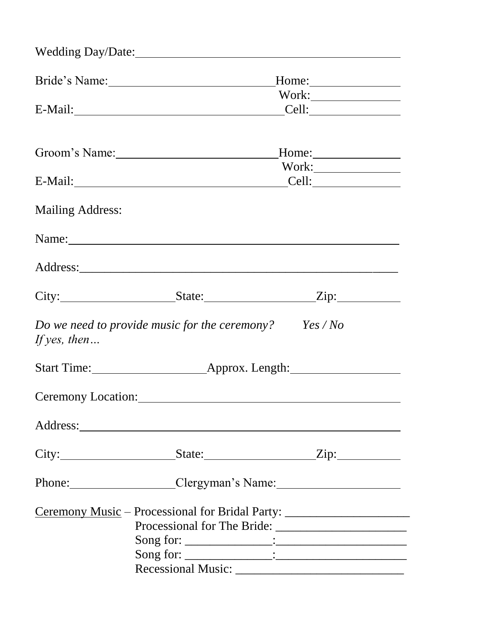|                         | Wedding Day/Date: 2008. [1] March 2014. [1] March 2014. [1] March 2014. [1] March 2014. [1] March 2014. [1] March 2014. [1] March 2014. [1] March 2014. [1] March 2014. [1] March 2014. [1] March 2014. [1] March 2014. [1] Ma |       |  |
|-------------------------|--------------------------------------------------------------------------------------------------------------------------------------------------------------------------------------------------------------------------------|-------|--|
|                         | Bride's Name: 1988                                                                                                                                                                                                             | Home: |  |
|                         |                                                                                                                                                                                                                                |       |  |
|                         | E-Mail: Cell: Cell:                                                                                                                                                                                                            |       |  |
|                         |                                                                                                                                                                                                                                |       |  |
|                         | Groom's Name:                                                                                                                                                                                                                  | Home: |  |
|                         |                                                                                                                                                                                                                                |       |  |
|                         | E-Mail: Cell: Cell:                                                                                                                                                                                                            |       |  |
| <b>Mailing Address:</b> |                                                                                                                                                                                                                                |       |  |
|                         |                                                                                                                                                                                                                                |       |  |
|                         |                                                                                                                                                                                                                                |       |  |
|                         | City: State: Zip: Zip:                                                                                                                                                                                                         |       |  |
| If yes, then $\ldots$   | Do we need to provide music for the ceremony? $Yes/No$                                                                                                                                                                         |       |  |
|                         |                                                                                                                                                                                                                                |       |  |
|                         |                                                                                                                                                                                                                                |       |  |
|                         | Address: Note and the set of the set of the set of the set of the set of the set of the set of the set of the set of the set of the set of the set of the set of the set of the set of the set of the set of the set of the se |       |  |
|                         | $City:$ $S \nvert$ $S \nvert$ $Zip:$                                                                                                                                                                                           |       |  |
|                         | Phone: Clergyman's Name: 2014                                                                                                                                                                                                  |       |  |
|                         | Ceremony Music - Processional for Bridal Party: _________________________________                                                                                                                                              |       |  |
|                         |                                                                                                                                                                                                                                |       |  |
|                         |                                                                                                                                                                                                                                |       |  |
|                         |                                                                                                                                                                                                                                |       |  |
|                         |                                                                                                                                                                                                                                |       |  |
|                         |                                                                                                                                                                                                                                |       |  |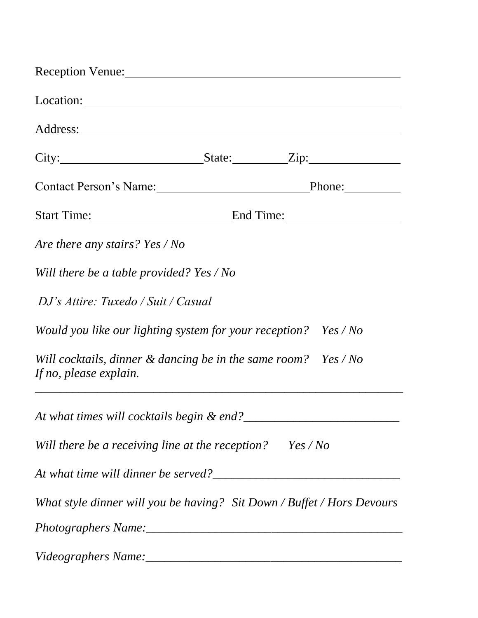| Reception Venue:                                                                                                                                                                                                                     |  |  |  |
|--------------------------------------------------------------------------------------------------------------------------------------------------------------------------------------------------------------------------------------|--|--|--|
| Location:                                                                                                                                                                                                                            |  |  |  |
| Address: <u>and a series of the series of the series of the series of the series of the series of the series of the series of the series of the series of the series of the series of the series of the series of the series of </u> |  |  |  |
| $City:$ State: Zip:                                                                                                                                                                                                                  |  |  |  |
| Contact Person's Name: Phone: Phone:                                                                                                                                                                                                 |  |  |  |
| Start Time: End Time:                                                                                                                                                                                                                |  |  |  |
| Are there any stairs? Yes / No                                                                                                                                                                                                       |  |  |  |
| Will there be a table provided? Yes / No                                                                                                                                                                                             |  |  |  |
| DJ's Attire: Tuxedo / Suit / Casual                                                                                                                                                                                                  |  |  |  |
| Would you like our lighting system for your reception? Yes / No                                                                                                                                                                      |  |  |  |
| Will cocktails, dinner $\&$ dancing be in the same room? Yes / No<br>If no, please explain.                                                                                                                                          |  |  |  |
| At what times will cocktails begin & end?                                                                                                                                                                                            |  |  |  |
| Will there be a receiving line at the reception? Yes/No                                                                                                                                                                              |  |  |  |
|                                                                                                                                                                                                                                      |  |  |  |
| What style dinner will you be having? Sit Down / Buffet / Hors Devours                                                                                                                                                               |  |  |  |
|                                                                                                                                                                                                                                      |  |  |  |
|                                                                                                                                                                                                                                      |  |  |  |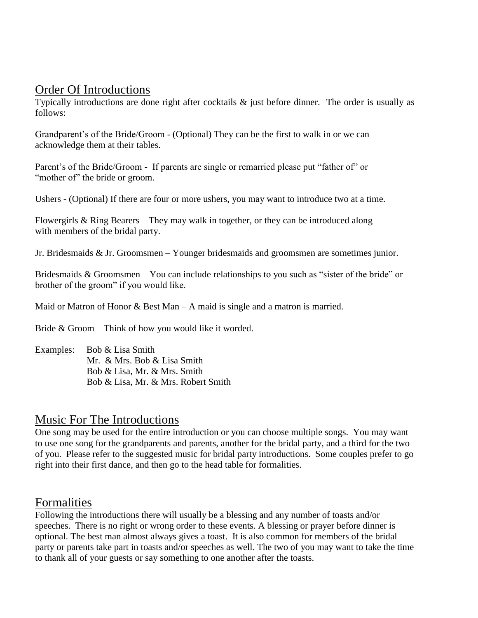#### Order Of Introductions

Typically introductions are done right after cocktails & just before dinner. The order is usually as follows:

Grandparent's of the Bride/Groom - (Optional) They can be the first to walk in or we can acknowledge them at their tables.

Parent's of the Bride/Groom - If parents are single or remarried please put "father of" or "mother of" the bride or groom.

Ushers - (Optional) If there are four or more ushers, you may want to introduce two at a time.

Flowergirls & Ring Bearers – They may walk in together, or they can be introduced along with members of the bridal party.

Jr. Bridesmaids & Jr. Groomsmen – Younger bridesmaids and groomsmen are sometimes junior.

Bridesmaids & Groomsmen – You can include relationships to you such as "sister of the bride" or brother of the groom" if you would like.

Maid or Matron of Honor  $\&$  Best Man – A maid is single and a matron is married.

Bride & Groom – Think of how you would like it worded.

Examples: Bob & Lisa Smith Mr. & Mrs. Bob & Lisa Smith Bob & Lisa, Mr. & Mrs. Smith Bob & Lisa, Mr. & Mrs. Robert Smith

#### Music For The Introductions

One song may be used for the entire introduction or you can choose multiple songs. You may want to use one song for the grandparents and parents, another for the bridal party, and a third for the two of you. Please refer to the suggested music for bridal party introductions. Some couples prefer to go right into their first dance, and then go to the head table for formalities.

#### Formalities

Following the introductions there will usually be a blessing and any number of toasts and/or speeches. There is no right or wrong order to these events. A blessing or prayer before dinner is optional. The best man almost always gives a toast. It is also common for members of the bridal party or parents take part in toasts and/or speeches as well. The two of you may want to take the time to thank all of your guests or say something to one another after the toasts.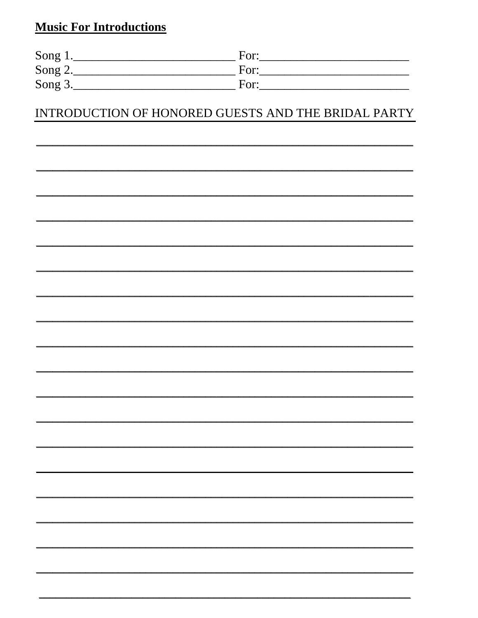## **Music For Introductions**

| Song $1$ . | For: |
|------------|------|
| Song $2.$  | For  |
| Song 3.    | For  |

#### INTRODUCTION OF HONORED GUESTS AND THE BRIDAL PARTY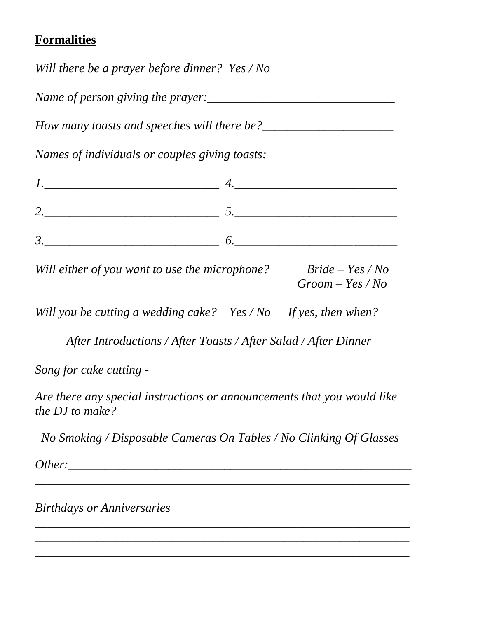## **Formalities**

*Will there be a prayer before dinner? Yes / No*

*Name of person giving the prayer:\_\_\_\_\_\_\_\_\_\_\_\_\_\_\_\_\_\_\_\_\_\_\_\_\_\_\_\_\_\_*

*How many toasts and speeches will there be?* 

*Names of individuals or couples giving toasts:*

| ັ |  |
|---|--|

*Will either of you want to use the microphone? Bride – Yes / No Groom – Yes / No*

*Will you be cutting a wedding cake? Yes / No If yes, then when?* 

 *After Introductions / After Toasts / After Salad / After Dinner*

*Song for cake cutting -\_\_\_\_\_\_\_\_\_\_\_\_\_\_\_\_\_\_\_\_\_\_\_\_\_\_\_\_\_\_\_\_\_\_\_\_\_\_\_\_*

*Are there any special instructions or announcements that you would like the DJ to make?*

 *No Smoking / Disposable Cameras On Tables / No Clinking Of Glasses*

*\_\_\_\_\_\_\_\_\_\_\_\_\_\_\_\_\_\_\_\_\_\_\_\_\_\_\_\_\_\_\_\_\_\_\_\_\_\_\_\_\_\_\_\_\_\_\_\_\_\_\_\_\_\_\_\_\_\_\_\_*

*\_\_\_\_\_\_\_\_\_\_\_\_\_\_\_\_\_\_\_\_\_\_\_\_\_\_\_\_\_\_\_\_\_\_\_\_\_\_\_\_\_\_\_\_\_\_\_\_\_\_\_\_\_\_\_\_\_\_\_\_ \_\_\_\_\_\_\_\_\_\_\_\_\_\_\_\_\_\_\_\_\_\_\_\_\_\_\_\_\_\_\_\_\_\_\_\_\_\_\_\_\_\_\_\_\_\_\_\_\_\_\_\_\_\_\_\_\_\_\_\_ \_\_\_\_\_\_\_\_\_\_\_\_\_\_\_\_\_\_\_\_\_\_\_\_\_\_\_\_\_\_\_\_\_\_\_\_\_\_\_\_\_\_\_\_\_\_\_\_\_\_\_\_\_\_\_\_\_\_\_\_*

*Other:\_\_\_\_\_\_\_\_\_\_\_\_\_\_\_\_\_\_\_\_\_\_\_\_\_\_\_\_\_\_\_\_\_\_\_\_\_\_\_\_\_\_\_\_\_\_\_\_\_\_\_\_\_\_\_*

*Birthdays or Anniversaries\_\_\_\_\_\_\_\_\_\_\_\_\_\_\_\_\_\_\_\_\_\_\_\_\_\_\_\_\_\_\_\_\_\_\_\_\_\_*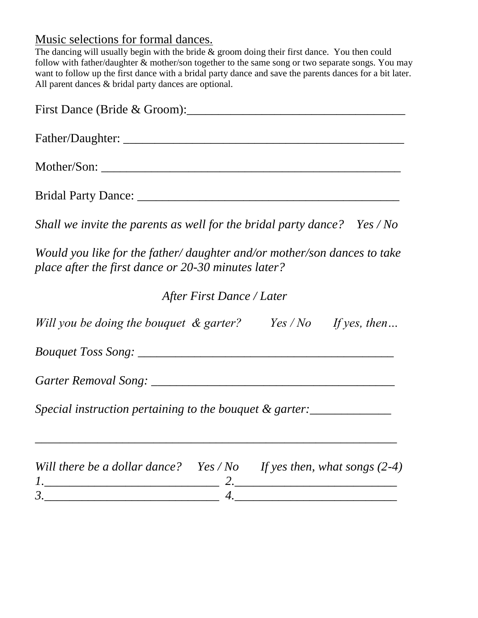## Music selections for formal dances.

The dancing will usually begin with the bride  $\&$  groom doing their first dance. You then could follow with father/daughter & mother/son together to the same song or two separate songs. You may want to follow up the first dance with a bridal party dance and save the parents dances for a bit later. All parent dances & bridal party dances are optional.

| First Dance (Bride & Groom):                                                                                                                                                                                                                                                                                                                                        |
|---------------------------------------------------------------------------------------------------------------------------------------------------------------------------------------------------------------------------------------------------------------------------------------------------------------------------------------------------------------------|
|                                                                                                                                                                                                                                                                                                                                                                     |
|                                                                                                                                                                                                                                                                                                                                                                     |
|                                                                                                                                                                                                                                                                                                                                                                     |
| Shall we invite the parents as well for the bridal party dance? Yes / No                                                                                                                                                                                                                                                                                            |
| Would you like for the father/ daughter and/or mother/son dances to take<br>place after the first dance or 20-30 minutes later?                                                                                                                                                                                                                                     |
| After First Dance / Later                                                                                                                                                                                                                                                                                                                                           |
| Will you be doing the bouquet $\&$ garter? Yes / No If yes, then                                                                                                                                                                                                                                                                                                    |
|                                                                                                                                                                                                                                                                                                                                                                     |
|                                                                                                                                                                                                                                                                                                                                                                     |
| Special instruction pertaining to the bouquet & garter:                                                                                                                                                                                                                                                                                                             |
| Will there be a dollar dance? Yes / No If yes then, what songs $(2-4)$                                                                                                                                                                                                                                                                                              |
| $\begin{picture}(20,10) \put(0,0){\vector(1,0){100}} \put(15,0){\vector(1,0){100}} \put(15,0){\vector(1,0){100}} \put(15,0){\vector(1,0){100}} \put(15,0){\vector(1,0){100}} \put(15,0){\vector(1,0){100}} \put(15,0){\vector(1,0){100}} \put(15,0){\vector(1,0){100}} \put(15,0){\vector(1,0){100}} \put(15,0){\vector(1,0){100}} \put(15,0){\vector(1,0){100}} \$ |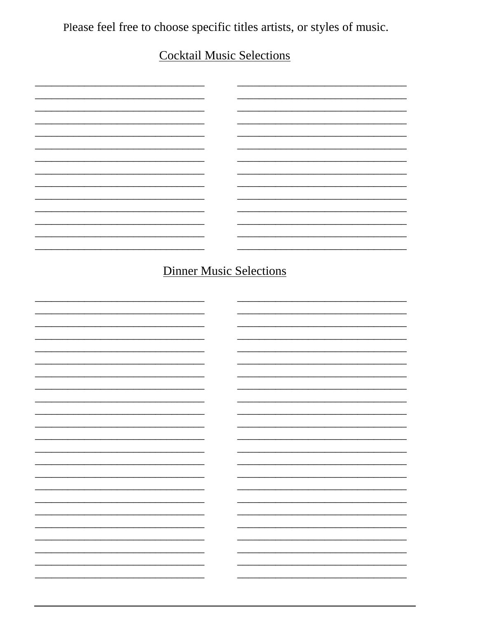Please feel free to choose specific titles artists, or styles of music.

# **Cocktail Music Selections**

|  |    | <b>Dinner Music Selections</b> |    |
|--|----|--------------------------------|----|
|  |    |                                |    |
|  |    |                                |    |
|  |    |                                |    |
|  |    |                                |    |
|  |    |                                |    |
|  |    |                                |    |
|  |    |                                |    |
|  |    |                                |    |
|  |    |                                |    |
|  |    |                                |    |
|  |    |                                |    |
|  |    |                                |    |
|  |    |                                |    |
|  |    |                                |    |
|  |    |                                |    |
|  |    |                                |    |
|  |    |                                |    |
|  |    |                                | Ξ. |
|  |    |                                | Ξ. |
|  |    |                                |    |
|  |    |                                | -  |
|  |    |                                |    |
|  |    |                                | -  |
|  |    |                                |    |
|  |    |                                |    |
|  |    |                                | -  |
|  |    |                                |    |
|  | Ξ. |                                |    |
|  |    |                                | Ξ. |
|  |    |                                |    |
|  |    |                                |    |
|  |    |                                |    |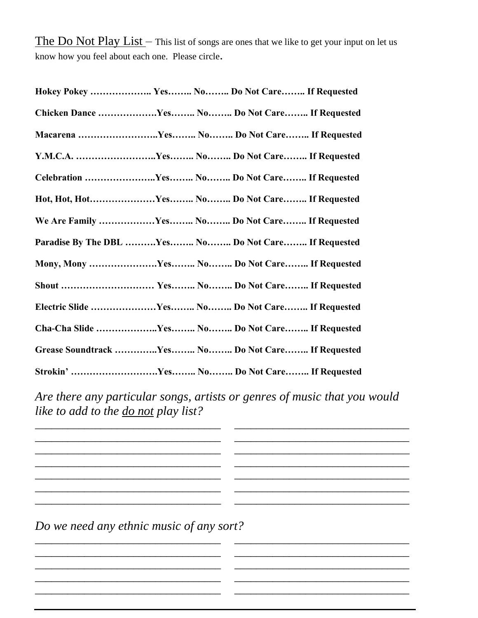The Do Not Play List – This list of songs are ones that we like to get your input on let us know how you feel about each one. Please circle.

|  | Hokey Pokey  Yes No Do Not Care If Requested        |
|--|-----------------------------------------------------|
|  | Chicken Dance Yes No Do Not Care If Requested       |
|  | Macarena Yes No Do Not Care If Requested            |
|  |                                                     |
|  | Celebration Yes No Do Not Care If Requested         |
|  | Hot, Hot, HotYes No Do Not Care If Requested        |
|  | We Are Family Yes No Do Not Care If Requested       |
|  | Paradise By The DBL Yes No Do Not Care If Requested |
|  | Mony, Mony Yes No Do Not Care If Requested          |
|  |                                                     |
|  | Electric Slide Yes No Do Not Care If Requested      |
|  | Cha-Cha Slide Yes No Do Not Care If Requested       |
|  | Grease Soundtrack Yes No Do Not Care If Requested   |
|  |                                                     |

*Are there any particular songs, artists or genres of music that you would like to add to the do not play list?*

 $\_$  , and the set of the set of the set of the set of the set of the set of the set of the set of the set of the set of the set of the set of the set of the set of the set of the set of the set of the set of the set of th

 $\overline{\phantom{a}}$  , and the contribution of the contribution of the contribution of the contribution of the contribution of the contribution of the contribution of the contribution of the contribution of the contribution of the  $\overline{\phantom{a}}$  , and the contribution of the contribution of the contribution of the contribution of the contribution of the contribution of the contribution of the contribution of the contribution of the contribution of the  $\overline{\phantom{a}}$  , and the contract of the contract of the contract of the contract of the contract of the contract of the contract of the contract of the contract of the contract of the contract of the contract of the contrac

 $\overline{\phantom{a}}$  , and the contribution of the contribution of the contribution of the contribution of the contribution of the contribution of the contribution of the contribution of the contribution of the contribution of the

 $\overline{\phantom{a}}$  , and the contribution of the contribution of the contribution of the contribution of the contribution of the contribution of the contribution of the contribution of the contribution of the contribution of the  $\overline{\phantom{a}}$  , and the contribution of the contribution of the contribution of the contribution of the contribution of the contribution of the contribution of the contribution of the contribution of the contribution of the  $\overline{\phantom{a}}$  , and the contribution of the contribution of the contribution of the contribution of the contribution of the contribution of the contribution of the contribution of the contribution of the contribution of the

*Do we need any ethnic music of any sort?*

 $\_$  ,  $\_$  ,  $\_$  ,  $\_$  ,  $\_$  ,  $\_$  ,  $\_$  ,  $\_$  ,  $\_$  ,  $\_$  ,  $\_$  ,  $\_$  ,  $\_$  ,  $\_$ 

\_\_\_\_\_\_\_\_\_\_\_\_\_\_\_\_\_\_\_\_\_\_\_\_\_\_\_\_\_\_\_\_\_\_ \_\_\_\_\_\_\_\_\_\_\_\_\_\_\_\_\_\_\_\_\_\_\_\_\_\_\_\_\_\_\_\_

\_\_\_\_\_\_\_\_\_\_\_\_\_\_\_\_\_\_\_\_\_\_\_\_\_\_\_\_\_\_\_\_\_\_ \_\_\_\_\_\_\_\_\_\_\_\_\_\_\_\_\_\_\_\_\_\_\_\_\_\_\_\_\_\_\_\_  $\_$  ,  $\_$  ,  $\_$  ,  $\_$  ,  $\_$  ,  $\_$  ,  $\_$  ,  $\_$  ,  $\_$  ,  $\_$  ,  $\_$  ,  $\_$  ,  $\_$  ,  $\_$